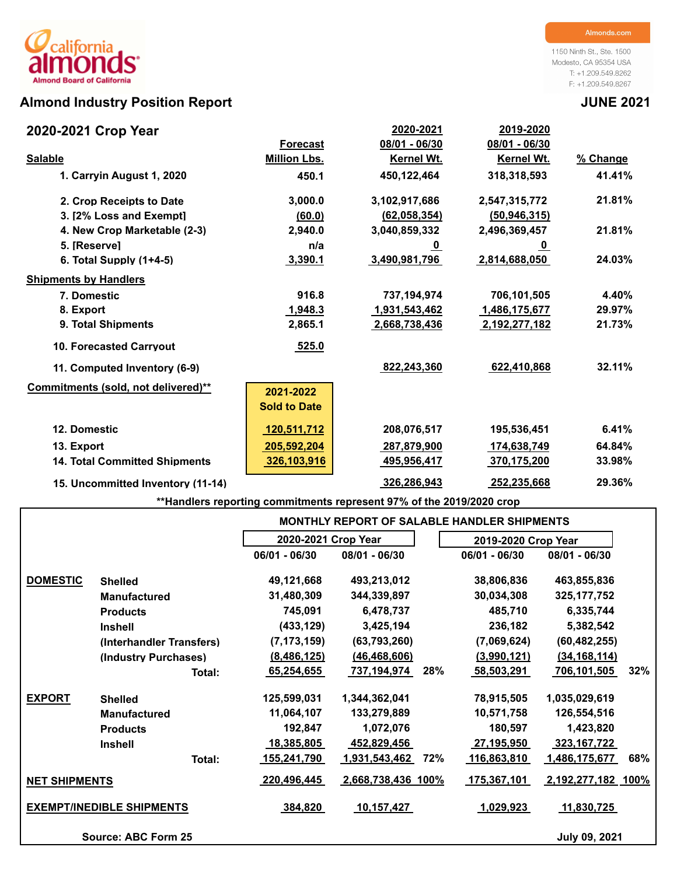# **Almond Industry Position Report JUNE 2021**

1150 Ninth St., Ste. 1500 Modesto, CA 95354 USA T: +1.209.549.8262 F: +1.209.549.8267

| 2020-2021 Crop Year                  |                     | 2020-2021       | 2019-2020         |          |
|--------------------------------------|---------------------|-----------------|-------------------|----------|
|                                      | <b>Forecast</b>     | $08/01 - 06/30$ | 08/01 - 06/30     |          |
| <b>Salable</b>                       | <b>Million Lbs.</b> | Kernel Wt.      | <b>Kernel Wt.</b> | % Change |
| 1. Carryin August 1, 2020            | 450.1               | 450,122,464     | 318,318,593       | 41.41%   |
| 2. Crop Receipts to Date             | 3,000.0             | 3,102,917,686   | 2,547,315,772     | 21.81%   |
| 3. [2% Loss and Exempt]              | (60.0)              | (62,058,354)    | (50, 946, 315)    |          |
| 4. New Crop Marketable (2-3)         | 2,940.0             | 3,040,859,332   | 2,496,369,457     | 21.81%   |
| 5. [Reserve]                         | n/a                 | <u>_0</u>       | <u>_0</u>         |          |
| 6. Total Supply $(1+4-5)$            | 3,390.1             | 3,490,981,796   | 2,814,688,050     | 24.03%   |
| <b>Shipments by Handlers</b>         |                     |                 |                   |          |
| 7. Domestic                          | 916.8               | 737, 194, 974   | 706,101,505       | 4.40%    |
| 8. Export                            | 1,948.3             | 1,931,543,462   | 1,486,175,677     | 29.97%   |
| 9. Total Shipments                   | 2,865.1             | 2,668,738,436   | 2,192,277,182     | 21.73%   |
| <b>10. Forecasted Carrvout</b>       | 525.0               |                 |                   |          |
| 11. Computed Inventory (6-9)         |                     | 822,243,360     | 622,410,868       | 32.11%   |
| Commitments (sold, not delivered)**  | 2021-2022           |                 |                   |          |
|                                      | <b>Sold to Date</b> |                 |                   |          |
| 12. Domestic                         | 120,511,712         | 208,076,517     | 195,536,451       | 6.41%    |
| 13. Export                           | 205,592,204         | 287,879,900     | 174,638,749       | 64.84%   |
| <b>14. Total Committed Shipments</b> | 326,103,916         | 495,956,417     | 370,175,200       | 33.98%   |
| 15. Uncommitted Inventory (11-14)    |                     | 326,286,943     | 252,235,668       | 29.36%   |

**\*\*Handlers reporting commitments represent 97% of the 2019/2020 crop**

|                      |                                  |                     |                      |     | <b>MONTHLY REPORT OF SALABLE HANDLER SHIPMENTS</b> |                    |     |
|----------------------|----------------------------------|---------------------|----------------------|-----|----------------------------------------------------|--------------------|-----|
|                      |                                  | 2020-2021 Crop Year |                      |     | 2019-2020 Crop Year                                |                    |     |
|                      |                                  | 06/01 - 06/30       | 08/01 - 06/30        |     | 06/01 - 06/30                                      | 08/01 - 06/30      |     |
| <b>DOMESTIC</b>      | <b>Shelled</b>                   | 49,121,668          | 493,213,012          |     | 38,806,836                                         | 463,855,836        |     |
|                      | <b>Manufactured</b>              | 31,480,309          | 344,339,897          |     | 30,034,308                                         | 325, 177, 752      |     |
|                      | <b>Products</b>                  | 745,091             | 6,478,737            |     | 485,710                                            | 6,335,744          |     |
|                      | <b>Inshell</b>                   | (433, 129)          | 3,425,194            |     | 236,182                                            | 5,382,542          |     |
|                      | (Interhandler Transfers)         | (7, 173, 159)       | (63, 793, 260)       |     | (7,069,624)                                        | (60, 482, 255)     |     |
|                      | (Industry Purchases)             | (8, 486, 125)       | (46, 468, 606)       |     | (3,990,121)                                        | (34, 168, 114)     |     |
|                      | Total:                           | 65,254,655          | 737,194,974          | 28% | 58,503,291                                         | 706,101,505        | 32% |
| <b>EXPORT</b>        | <b>Shelled</b>                   | 125,599,031         | 1,344,362,041        |     | 78,915,505                                         | 1,035,029,619      |     |
|                      | <b>Manufactured</b>              | 11,064,107          | 133,279,889          |     | 10,571,758                                         | 126,554,516        |     |
|                      | <b>Products</b>                  | 192,847             | 1,072,076            |     | 180,597                                            | 1,423,820          |     |
|                      | <b>Inshell</b>                   | 18,385,805          | 452,829,456          |     | 27,195,950                                         | 323, 167, 722      |     |
|                      | Total:                           | <u>155,241,790</u>  | <u>1,931,543,462</u> | 72% | 116,863,810                                        | 1,486,175,677      | 68% |
| <b>NET SHIPMENTS</b> |                                  | 220,496,445         | 2,668,738,436 100%   |     | 175,367,101                                        | 2,192,277,182 100% |     |
|                      | <b>EXEMPT/INEDIBLE SHIPMENTS</b> | 384,820             | 10,157,427           |     | <u> 1,029,923 </u>                                 | 11,830,725         |     |
|                      | <b>Source: ABC Form 25</b>       |                     |                      |     |                                                    | July 09, 2021      |     |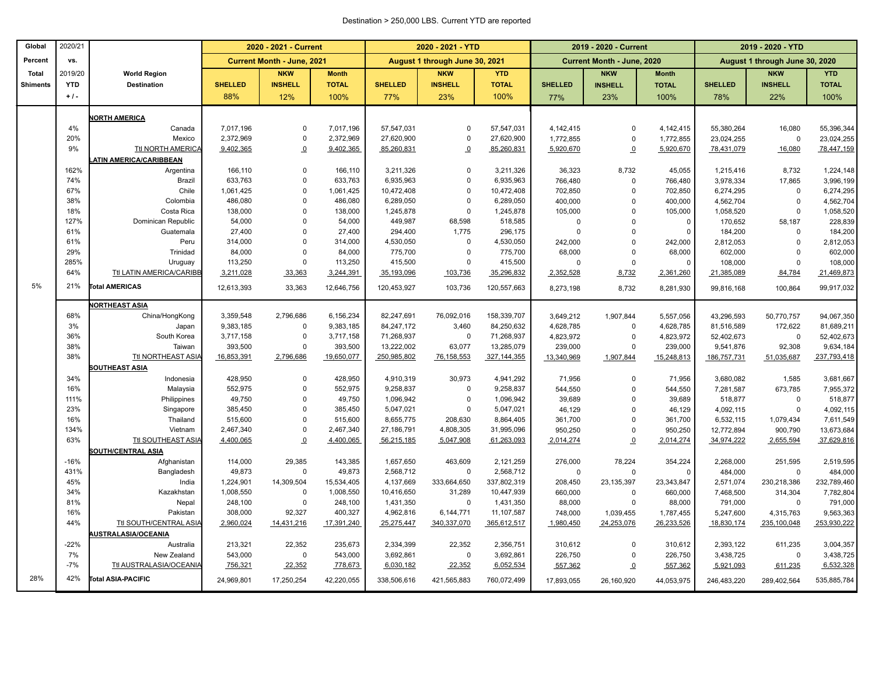#### Destination > 250,000 LBS. Current YTD are reported

| Percent<br>August 1 through June 30, 2021<br>VS.<br><b>Current Month - June, 2021</b><br>2019/20<br><b>NKW</b><br><b>NKW</b><br>Total<br><b>World Region</b><br><b>Month</b><br><b>YTD</b><br><b>SHELLED</b><br><b>INSHELL</b><br><b>TOTAL</b><br><b>SHELLED</b><br><b>INSHELL</b><br><b>Shiments</b><br><b>Destination</b><br>$+1$ .<br>12%<br>77% | <b>YTD</b><br><b>TOTAL</b><br>100%<br>57,547,031 | <b>SHELLED</b><br>77% | <b>Current Month - June, 2020</b><br><b>NKW</b><br><b>INSHELL</b><br>23% | <b>Month</b><br><b>TOTAL</b> |                          | August 1 through June 30, 2020<br><b>NKW</b> | <b>YTD</b>               |
|-----------------------------------------------------------------------------------------------------------------------------------------------------------------------------------------------------------------------------------------------------------------------------------------------------------------------------------------------------|--------------------------------------------------|-----------------------|--------------------------------------------------------------------------|------------------------------|--------------------------|----------------------------------------------|--------------------------|
|                                                                                                                                                                                                                                                                                                                                                     |                                                  |                       |                                                                          |                              |                          |                                              |                          |
|                                                                                                                                                                                                                                                                                                                                                     |                                                  |                       |                                                                          |                              |                          |                                              |                          |
|                                                                                                                                                                                                                                                                                                                                                     |                                                  |                       |                                                                          |                              | <b>SHELLED</b>           | <b>INSHELL</b>                               | <b>TOTAL</b>             |
| 88%<br>100%<br>23%                                                                                                                                                                                                                                                                                                                                  |                                                  |                       |                                                                          | 100%                         | 78%                      | 22%                                          | 100%                     |
| <b>ORTH AMERICA</b>                                                                                                                                                                                                                                                                                                                                 |                                                  |                       |                                                                          |                              |                          |                                              |                          |
| 4%<br>7,017,196<br>7,017,196<br>57,547,031<br>Canada<br>$\Omega$<br>$\Omega$                                                                                                                                                                                                                                                                        |                                                  | 4,142,415             | $\Omega$                                                                 | 4,142,415                    | 55,380,264               | 16,080                                       | 55,396,344               |
| 20%<br>2,372,969<br>$\mathbf 0$<br>2,372,969<br>27,620,900<br>Mexico<br>$\Omega$                                                                                                                                                                                                                                                                    | 27,620,900                                       | 1,772,855             | $\mathbf 0$                                                              | 1,772,855                    | 23,024,255               | $\overline{0}$                               | 23,024,255               |
| Ttl NORTH AMERICA<br>9%<br>9,402,365<br>9,402,365<br>85,260,831<br>$\Omega$<br>$\Omega$                                                                                                                                                                                                                                                             | 85,260,831                                       | 5,920,670             | $\overline{0}$                                                           | 5,920,670                    | 78,431,079               | 16,080                                       | 78,447,159               |
| <b>ATIN AMERICA/CARIBBEAN</b>                                                                                                                                                                                                                                                                                                                       |                                                  |                       |                                                                          |                              |                          |                                              |                          |
| 162%<br>166,110<br>$\Omega$<br>166,110<br>3,211,326<br>$\Omega$<br>Argentina                                                                                                                                                                                                                                                                        | 3,211,326                                        | 36,323                | 8,732                                                                    | 45,055                       | 1,215,416                | 8,732                                        | 1,224,148                |
| 74%<br>633,763<br>Brazil<br>633,763<br>$\mathbf 0$<br>6,935,963<br>$\mathbf 0$                                                                                                                                                                                                                                                                      | 6,935,963                                        | 766,480               | $\mathbf 0$                                                              | 766,480                      | 3,978,334                | 17,865                                       | 3,996,199                |
| 67%<br>Chile<br>$\Omega$<br>1,061,425<br>10,472,408<br>1,061,425<br>$\Omega$                                                                                                                                                                                                                                                                        | 10,472,408                                       | 702,850               | $\Omega$                                                                 | 702,850                      | 6,274,295                | $\mathbf 0$                                  | 6,274,295                |
| 486,080<br>486,080<br>6,289,050<br>38%<br>Colombia<br>$\Omega$<br>$\mathbf 0$                                                                                                                                                                                                                                                                       | 6,289,050                                        | 400,000               | $\Omega$                                                                 | 400,000                      | 4,562,704                | $\Omega$                                     | 4,562,704                |
| 18%<br>$\mathsf 0$<br>Costa Rica<br>138,000<br>$\mathbf 0$<br>138,000<br>1,245,878                                                                                                                                                                                                                                                                  | 1,245,878                                        | 105,000               | $\Omega$                                                                 | 105,000                      | 1,058,520                | $\Omega$                                     | 1,058,520                |
| 127%<br><b>Dominican Republic</b><br>54,000<br>$\Omega$<br>54,000<br>449,987<br>68,598                                                                                                                                                                                                                                                              | 518,585                                          | $\mathbf 0$           | $\Omega$                                                                 | $\mathbf 0$                  | 170,652                  | 58,187                                       | 228,839                  |
| 61%<br>1,775<br>Guatemala<br>27,400<br>$\Omega$<br>27,400<br>294,400                                                                                                                                                                                                                                                                                | 296,175                                          | $\theta$              | $\Omega$                                                                 | $\Omega$                     | 184,200                  | $\Omega$                                     | 184,200                  |
| 61%<br>Peru<br>314,000<br>$\mathbf 0$<br>314,000<br>4,530,050<br>$\mathbf 0$                                                                                                                                                                                                                                                                        | 4,530,050                                        | 242,000               | $\mathbf 0$                                                              | 242,000                      | 2,812,053                | $\Omega$                                     | 2,812,053                |
| 29%<br>Trinidad<br>84,000<br>$\Omega$<br>84,000<br>775,700<br>$\Omega$                                                                                                                                                                                                                                                                              | 775,700                                          | 68,000                | $\Omega$                                                                 | 68,000                       | 602,000                  | $\Omega$                                     | 602,000                  |
| 285%<br>113,250<br>Uruguay<br>$\Omega$<br>113,250<br>415,500<br>$\mathbf 0$                                                                                                                                                                                                                                                                         | 415,500                                          | 0                     | $\mathbf 0$                                                              | $\Omega$                     | 108,000                  | $\Omega$                                     | 108,000                  |
| 64%<br>Ttl LATIN AMERICA/CARIBB<br>3,211,028<br>33,363<br>3,244,391<br>103,736<br>35,193,096                                                                                                                                                                                                                                                        | 35,296,832                                       | 2,352,528             | 8,732                                                                    | 2,361,260                    | 21,385,089               | 84,784                                       | 21,469,873               |
| 5%<br>21%<br><b>Total AMERICAS</b><br>12,613,393<br>33,363<br>12,646,756<br>120,453,927<br>103,736                                                                                                                                                                                                                                                  | 120,557,663                                      | 8,273,198             | 8,732                                                                    | 8,281,930                    | 99,816,168               | 100,864                                      | 99,917,032               |
| <b>NORTHEAST ASIA</b>                                                                                                                                                                                                                                                                                                                               |                                                  |                       |                                                                          |                              |                          |                                              |                          |
| China/HongKong<br>3,359,548<br>2,796,686<br>6,156,234<br>82,247,691<br>76,092,016<br>68%                                                                                                                                                                                                                                                            | 158,339,707                                      | 3,649,212             | 1,907,844                                                                | 5,557,056                    | 43,296,593               | 50,770,757                                   | 94,067,350               |
| 3%<br>9,383,185<br>9,383,185<br>84,247,172<br>3,460<br>$\mathbf 0$<br>Japan                                                                                                                                                                                                                                                                         | 84,250,632                                       | 4,628,785             | $\mathsf 0$                                                              | 4,628,785                    | 81,516,589               | 172,622                                      | 81,689,211               |
| 36%<br>3,717,158<br>$\overline{0}$<br>3,717,158<br>71,268,937<br>$\mathbf 0$<br>South Korea                                                                                                                                                                                                                                                         | 71,268,937                                       | 4,823,972             | $\mathbf 0$                                                              | 4,823,972                    | 52,402,673               | $\Omega$                                     | 52,402,673               |
| 38%<br>393,500<br>$\mathbf 0$<br>393,500<br>13,222,002<br>63,077<br>Taiwan                                                                                                                                                                                                                                                                          | 13,285,079                                       | 239,000               | $\mathbf 0$                                                              | 239,000                      | 9,541,876                | 92,308                                       | 9,634,184                |
| 38%<br>Ttl NORTHEAST ASIA<br>16,853,391<br>2,796,686<br>19,650,077<br>250,985,802<br>76,158,553                                                                                                                                                                                                                                                     | 327, 144, 355                                    | 13,340,969            | 1,907,844                                                                | 15,248,813                   | 186,757,731              | 51,035,687                                   | 237,793,418              |
| SOUTHEAST ASIA                                                                                                                                                                                                                                                                                                                                      |                                                  |                       |                                                                          |                              |                          |                                              |                          |
| 34%<br>30,973<br>428,950<br>$\mathbf 0$<br>428,950<br>4,910,319<br>Indonesia                                                                                                                                                                                                                                                                        | 4,941,292                                        | 71,956                | $\Omega$                                                                 | 71,956                       | 3,680,082                | 1,585                                        | 3,681,667                |
| 552,975<br>552,975<br>16%<br>Malaysia<br>$\mathbf 0$<br>9,258,837<br>$\mathbf 0$                                                                                                                                                                                                                                                                    | 9,258,837                                        | 544,550               | $\mathbf 0$                                                              | 544,550                      | 7,281,587                | 673,785                                      | 7,955,372                |
| 111%<br>49,750<br>$\Omega$<br>49,750<br>1,096,942<br>$\Omega$<br>Philippines                                                                                                                                                                                                                                                                        | 1,096,942                                        | 39,689                | $\Omega$                                                                 | 39,689                       | 518,877                  | $\Omega$                                     | 518,877                  |
| 23%<br>385,450<br>385,450<br>5,047,021<br>$\mathsf 0$<br>Singapore<br>$\Omega$                                                                                                                                                                                                                                                                      | 5,047,021                                        | 46,129                | $\Omega$                                                                 | 46,129                       | 4,092,115                | $\Omega$                                     | 4,092,115                |
| 16%<br>Thailand<br>515,600<br>$\Omega$<br>515,600<br>8,655,775<br>208,630<br>134%<br>$\Omega$                                                                                                                                                                                                                                                       | 8,864,405                                        | 361,700<br>950,250    | $\Omega$<br>$\Omega$                                                     | 361,700<br>950,250           | 6,532,115                | 1,079,434                                    | 7,611,549                |
| Vietnam<br>2,467,340<br>2,467,340<br>27,186,791<br>4,808,305<br>63%<br>Ttl SOUTHEAST ASIA<br>$\overline{0}$<br>4,400,065<br>5,047,908<br>4,400,065<br>56,215,185                                                                                                                                                                                    | 31,995,096<br>61,263,093                         | 2,014,274             | $\overline{0}$                                                           | 2,014,274                    | 12,772,894<br>34,974,222 | 900,790<br>2,655,594                         | 13,673,684<br>37,629,816 |
| <b>SOUTH/CENTRAL ASIA</b>                                                                                                                                                                                                                                                                                                                           |                                                  |                       |                                                                          |                              |                          |                                              |                          |
| $-16%$<br>29,385<br>143,385<br>463,609<br>Afghanistan<br>114,000<br>1,657,650                                                                                                                                                                                                                                                                       | 2,121,259                                        | 276,000               | 78,224                                                                   | 354,224                      | 2,268,000                | 251,595                                      | 2,519,595                |
| 431%<br>49,873<br>$\Omega$<br>49,873<br>2,568,712<br>$\mathbf 0$<br>Bangladesh                                                                                                                                                                                                                                                                      | 2,568,712                                        | $\mathbf 0$           | $\Omega$                                                                 | $\Omega$                     | 484,000                  | $\Omega$                                     | 484,000                  |
| 45%<br>1,224,901<br>14,309,504<br>15,534,405<br>4,137,669<br>333,664,650<br>India                                                                                                                                                                                                                                                                   | 337,802,319                                      | 208,450               | 23,135,397                                                               | 23,343,847                   | 2,571,074                | 230,218,386                                  | 232,789,460              |
| 34%<br>Kazakhstan<br>1,008,550<br>$\Omega$<br>1,008,550<br>10,416,650<br>31,289                                                                                                                                                                                                                                                                     | 10,447,939                                       | 660,000               | $\mathbf 0$                                                              | 660,000                      | 7,468,500                | 314,304                                      | 7,782,804                |
| 81%<br>248,100<br>$\mathbf 0$<br>248,100<br>1,431,350<br>$\mathbf 0$<br>Nepal                                                                                                                                                                                                                                                                       | 1,431,350                                        | 88,000                | $\mathbf 0$                                                              | 88,000                       | 791,000                  | $\Omega$                                     | 791,000                  |
| 16%<br>308,000<br>92,327<br>400,327<br>4,962,816<br>6,144,771<br>Pakistan                                                                                                                                                                                                                                                                           | 11,107,587                                       | 748,000               | 1,039,455                                                                | 1,787,455                    | 5,247,600                | 4,315,763                                    | 9,563,363                |
| 44%<br><b>Ttl SOUTH/CENTRAL ASIA</b><br>2,960,024<br>14,431,216<br>17,391,240<br>25,275,447<br>340,337,070                                                                                                                                                                                                                                          | 365,612,517                                      | 1,980,450             | 24,253,076                                                               | 26,233,526                   | 18,830,174               | 235,100,048                                  | 253,930,222              |
| <b>USTRALASIA/OCEANIA</b>                                                                                                                                                                                                                                                                                                                           |                                                  |                       |                                                                          |                              |                          |                                              |                          |
| 22,352<br>$-22%$<br>213,321<br>235,673<br>2,334,399<br>22,352<br>Australia                                                                                                                                                                                                                                                                          | 2,356,751                                        | 310,612               | $\Omega$                                                                 | 310,612                      | 2,393,122                | 611,235                                      | 3,004,357                |
| 7%<br>543,000<br>$\pmb{0}$<br>543,000<br>3,692,861<br>$\mathsf 0$<br>New Zealand                                                                                                                                                                                                                                                                    | 3,692,861                                        | 226,750               | $\mathbf 0$                                                              | 226,750                      | 3,438,725                | $\overline{0}$                               | 3,438,725                |
| Ttl AUSTRALASIA/OCEANIA<br>$-7%$<br>756,321<br>22,352<br>778,673<br>6,030,182<br>22,352                                                                                                                                                                                                                                                             | 6,052,534                                        | 557,362               | $\overline{0}$                                                           | 557,362                      | 5,921,093                | 611,235                                      | 6,532,328                |
| 28%<br>42%<br>Total ASIA-PACIFIC<br>24,969,801<br>17,250,254<br>42,220,055<br>338,506,616<br>421,565,883                                                                                                                                                                                                                                            | 760,072,499                                      | 17,893,055            | 26,160,920                                                               | 44,053,975                   | 246,483,220              | 289,402,564                                  | 535,885,784              |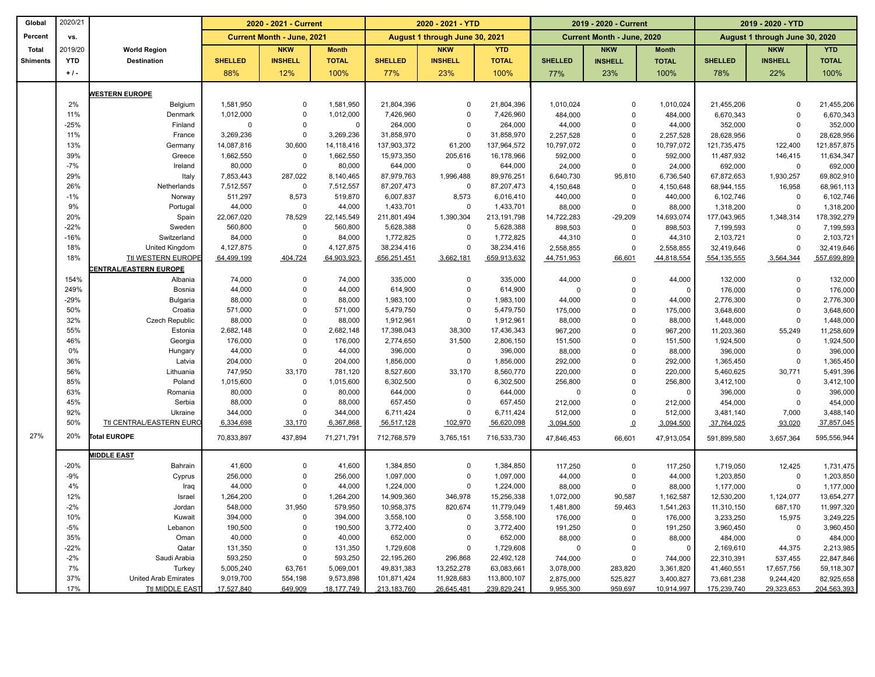| Global          | 2020/21    |                              | 2020 - 2021 - Current |                                   |              | 2020 - 2021 - YTD |                                |              | 2019 - 2020 - Current |                                   |                | 2019 - 2020 - YTD |                                |              |
|-----------------|------------|------------------------------|-----------------------|-----------------------------------|--------------|-------------------|--------------------------------|--------------|-----------------------|-----------------------------------|----------------|-------------------|--------------------------------|--------------|
| Percent         | VS.        |                              |                       | <b>Current Month - June, 2021</b> |              |                   | August 1 through June 30, 2021 |              |                       | <b>Current Month - June, 2020</b> |                |                   | August 1 through June 30, 2020 |              |
| <b>Total</b>    | 2019/20    | <b>World Region</b>          |                       | <b>NKW</b>                        | <b>Month</b> |                   | <b>NKW</b>                     | <b>YTD</b>   |                       | <b>NKW</b>                        | <b>Month</b>   |                   | <b>NKW</b>                     | <b>YTD</b>   |
| <b>Shiments</b> | <b>YTD</b> | <b>Destination</b>           | <b>SHELLED</b>        | <b>INSHELL</b>                    | <b>TOTAL</b> | <b>SHELLED</b>    | <b>INSHELL</b>                 | <b>TOTAL</b> | <b>SHELLED</b>        | <b>INSHELL</b>                    | <b>TOTAL</b>   | <b>SHELLED</b>    | <b>INSHELL</b>                 | <b>TOTAL</b> |
|                 | $+1$ .     |                              | 88%                   | 12%                               | 100%         | 77%               | 23%                            | 100%         | 77%                   | 23%                               | 100%           | 78%               | 22%                            | 100%         |
|                 |            | <b>NESTERN EUROPE</b>        |                       |                                   |              |                   |                                |              |                       |                                   |                |                   |                                |              |
|                 | 2%         | Belgium                      | 1,581,950             | $\Omega$                          | 1,581,950    | 21,804,396        | $\Omega$                       | 21,804,396   | 1,010,024             | $\Omega$                          | 1,010,024      | 21,455,206        | $\Omega$                       | 21,455,206   |
|                 | 11%        | Denmark                      | 1,012,000             | $\mathbf 0$                       | 1,012,000    | 7,426,960         | $\overline{0}$                 | 7,426,960    | 484,000               | $\mathbf 0$                       | 484,000        | 6,670,343         | $\Omega$                       | 6,670,343    |
|                 | $-25%$     | Finland                      | $\Omega$              | $\Omega$                          | $\mathsf 0$  | 264,000           | $\mathbf 0$                    | 264,000      | 44,000                | $\mathsf 0$                       | 44,000         | 352,000           | $\Omega$                       | 352,000      |
|                 | 11%        | France                       | 3,269,236             | $\mathbf 0$                       | 3,269,236    | 31,858,970        | $\mathbf 0$                    | 31,858,970   | 2,257,528             | $\mathbf 0$                       | 2,257,528      | 28,628,956        | $\Omega$                       | 28,628,956   |
|                 | 13%        | Germany                      | 14,087,816            | 30,600                            | 14,118,416   | 137,903,372       | 61,200                         | 137,964,572  | 10,797,072            | $\Omega$                          | 10,797,072     | 121,735,475       | 122,400                        | 121,857,875  |
|                 | 39%        | Greece                       | 1,662,550             | $\mathbf 0$                       | 1,662,550    | 15,973,350        | 205,616                        | 16,178,966   | 592,000               | $\mathbf 0$                       | 592,000        | 11,487,932        | 146,415                        | 11,634,347   |
|                 | $-7%$      | Ireland                      | 80,000                | $\mathbf 0$                       | 80,000       | 644,000           | $\mathbf 0$                    | 644,000      | 24,000                | $\mathbf 0$                       | 24,000         | 692,000           | $\mathbf 0$                    | 692,000      |
|                 | 29%        | Italy                        | 7,853,443             | 287,022                           | 8,140,465    | 87,979,763        | 1,996,488                      | 89,976,251   | 6,640,730             | 95,810                            | 6,736,540      | 67,872,653        | 1,930,257                      | 69,802,910   |
|                 | 26%        | Netherlands                  | 7,512,557             | $\mathbf 0$                       | 7,512,557    | 87,207,473        | $\mathbf 0$                    | 87,207,473   | 4,150,648             | $\mathbf 0$                       | 4,150,648      | 68,944,155        | 16,958                         | 68,961,113   |
|                 | $-1%$      | Norway                       | 511,297               | 8,573                             | 519,870      | 6,007,837         | 8,573                          | 6,016,410    | 440,000               | $\Omega$                          | 440,000        | 6,102,746         | 0                              | 6,102,746    |
|                 | 9%         | Portugal                     | 44,000                | $\mathbf 0$                       | 44,000       | 1,433,701         | $\Omega$                       | 1,433,701    | 88,000                | $\Omega$                          | 88,000         | 1,318,200         | $\Omega$                       | 1,318,200    |
|                 | 20%        | Spain                        | 22,067,020            | 78,529                            | 22,145,549   | 211,801,494       | 1,390,304                      | 213,191,798  | 14,722,283            | $-29,209$                         | 14,693,074     | 177,043,965       | 1,348,314                      | 178,392,279  |
|                 | $-22%$     | Sweden                       | 560,800               | $\mathbf 0$                       | 560,800      | 5,628,388         | $\mathbf 0$                    | 5,628,388    | 898,503               | $\Omega$                          | 898,503        | 7,199,593         | $\Omega$                       | 7,199,593    |
|                 | $-16%$     | Switzerland                  | 84,000                | $\Omega$                          | 84,000       | 1,772,825         | $\mathbf 0$                    | 1,772,825    | 44,310                | $\Omega$                          | 44,310         | 2,103,721         | $\mathbf 0$                    | 2,103,721    |
|                 | 18%        | United Kingdom               | 4,127,875             | $\mathbf 0$                       | 4,127,875    | 38,234,416        | $\mathbf 0$                    | 38,234,416   | 2,558,855             | $\Omega$                          | 2,558,855      | 32,419,646        | $\Omega$                       | 32,419,646   |
|                 | 18%        | Ttl WESTERN EUROPE           | 64,499,199            | 404,724                           | 64,903,923   | 656,251,451       | 3,662,181                      | 659,913,632  | 44,751,953            | 66,601                            | 44,818,554     | 554, 135, 555     | 3,564,344                      | 557,699,899  |
|                 |            | <b>ENTRAL/EASTERN EUROPE</b> |                       |                                   |              |                   |                                |              |                       |                                   |                |                   |                                |              |
|                 | 154%       | Albania                      | 74,000                | $\mathbf 0$                       | 74,000       | 335,000           | $\mathbf 0$                    | 335,000      | 44,000                | $\Omega$                          | 44,000         | 132,000           | $\mathbf 0$                    | 132,000      |
|                 | 249%       | Bosnia                       | 44,000                | $\Omega$                          | 44,000       | 614,900           | $\mathbf 0$                    | 614,900      | $\mathbf 0$           | $\Omega$                          | $\Omega$       | 176,000           | $\Omega$                       | 176,000      |
|                 | $-29%$     | Bulgaria                     | 88,000                | $\mathbf 0$                       | 88,000       | 1,983,100         | $\mathbf 0$                    | 1,983,100    | 44,000                | $\mathbf 0$                       | 44,000         | 2,776,300         | $\mathbf 0$                    | 2,776,300    |
|                 | 50%        | Croatia                      | 571,000               | $\Omega$                          | 571,000      | 5,479,750         | $\mathbf 0$                    | 5,479,750    | 175,000               | $\Omega$                          | 175,000        | 3,648,600         | $\Omega$                       | 3,648,600    |
|                 | 32%        | <b>Czech Republic</b>        | 88,000                | $\mathbf 0$                       | 88,000       | 1,912,961         | $\mathbf 0$                    | 1,912,961    | 88,000                | $\Omega$                          | 88,000         | 1,448,000         | $\Omega$                       | 1,448,000    |
|                 | 55%        | Estonia                      | 2,682,148             | $\Omega$                          | 2,682,148    | 17,398,043        | 38,300                         | 17,436,343   | 967,200               | $\mathbf 0$                       | 967,200        | 11,203,360        | 55,249                         | 11,258,609   |
|                 | 46%        | Georgia                      | 176,000               | $\mathbf 0$                       | 176,000      | 2,774,650         | 31,500                         | 2,806,150    | 151,500               | $\mathbf 0$                       | 151,500        | 1,924,500         | 0                              | 1,924,500    |
|                 | 0%         | Hungary                      | 44,000                | $\mathbf 0$                       | 44,000       | 396,000           | $\mathbf 0$                    | 396,000      | 88,000                | $\mathbf 0$                       | 88,000         | 396,000           | $\mathbf 0$                    | 396,000      |
|                 | 36%        | Latvia                       | 204,000               | $\Omega$                          | 204,000      | 1,856,000         | $\mathbf 0$                    | 1,856,000    | 292,000               | $\mathbf 0$                       | 292,000        | 1,365,450         | $\mathbf 0$                    | 1,365,450    |
|                 | 56%        | Lithuania                    | 747,950               | 33,170                            | 781,120      | 8,527,600         | 33,170                         | 8,560,770    | 220,000               | $\mathbf 0$                       | 220,000        | 5,460,625         | 30,771                         | 5,491,396    |
|                 | 85%        | Poland                       | 1,015,600             | $\mathbf 0$                       | 1,015,600    | 6,302,500         | $\Omega$                       | 6,302,500    | 256,800               | $\mathsf 0$                       | 256,800        | 3,412,100         | $\Omega$                       | 3,412,100    |
|                 | 63%        | Romania                      | 80,000                | $\mathbf 0$                       | 80,000       | 644,000           | $\mathbf 0$                    | 644,000      | $\Omega$              | $\mathbf 0$                       | $\Omega$       | 396,000           | 0                              | 396,000      |
|                 | 45%        | Serbia                       | 88,000                | $\Omega$                          | 88,000       | 657,450           | $\mathbf 0$                    | 657,450      | 212,000               | $\Omega$                          | 212,000        | 454,000           | $\mathbf 0$                    | 454,000      |
|                 | 92%        | Ukraine                      | 344,000               | $\mathbf 0$                       | 344,000      | 6,711,424         | $\mathbf 0$                    | 6,711,424    | 512,000               | $\mathbf 0$                       | 512,000        | 3,481,140         | 7,000                          | 3,488,140    |
|                 | 50%        | Ttl CENTRAL/EASTERN EURO     | 6,334,698             | 33,170                            | 6,367,868    | 56,517,128        | 102,970                        | 56,620,098   | 3,094,500             | $\Omega$                          | 3,094,500      | 37,764,025        | 93,020                         | 37,857,045   |
| 27%             | 20%        | <b>Total EUROPE</b>          | 70,833,897            | 437,894                           | 71,271,791   | 712,768,579       | 3,765,151                      | 716,533,730  | 47,846,453            | 66,601                            | 47,913,054     | 591,899,580       | 3,657,364                      | 595,556,944  |
|                 |            | <b>MIDDLE EAST</b>           |                       |                                   |              |                   |                                |              |                       |                                   |                |                   |                                |              |
|                 | $-20%$     | Bahrain                      | 41,600                | $\mathbf 0$                       | 41,600       | 1,384,850         | $\mathbf 0$                    | 1,384,850    | 117,250               | $\Omega$                          | 117,250        | 1,719,050         | 12,425                         | 1,731,475    |
|                 | $-9%$      | Cyprus                       | 256,000               | $\Omega$                          | 256,000      | 1,097,000         | $\mathbf 0$                    | 1,097,000    | 44,000                | $\mathbf 0$                       | 44,000         | 1,203,850         | 0                              | 1,203,850    |
|                 | 4%         | Iraq                         | 44,000                | $\mathbf 0$                       | 44,000       | 1,224,000         | $\mathbf 0$                    | 1,224,000    | 88,000                | $\mathbf 0$                       | 88,000         | 1,177,000         | $\mathbf 0$                    | 1,177,000    |
|                 | 12%        | Israel                       | 1,264,200             | $\mathbf 0$                       | 1,264,200    | 14,909,360        | 346,978                        | 15,256,338   | 1,072,000             | 90,587                            | 1,162,587      | 12,530,200        | 1,124,077                      | 13,654,277   |
|                 | $-2%$      | Jordan                       | 548,000               | 31,950                            | 579,950      | 10,958,375        | 820,674                        | 11,779,049   | 1,481,800             | 59,463                            | 1,541,263      | 11,310,150        | 687,170                        | 11,997,320   |
|                 | 10%        | Kuwait                       | 394,000               | $\Omega$                          | 394,000      | 3,558,100         | $\mathbf 0$                    | 3,558,100    | 176,000               | $\Omega$                          | 176,000        | 3,233,250         | 15,975                         | 3,249,225    |
|                 | $-5%$      | Lebanon                      | 190,500               | $\mathbf 0$                       | 190,500      | 3,772,400         | $\mathbf 0$                    | 3,772,400    | 191,250               | $\mathbf 0$                       | 191,250        | 3,960,450         | 0                              | 3,960,450    |
|                 | 35%        | Oman                         | 40,000                | $\Omega$                          | 40,000       | 652,000           | $\mathbf 0$                    | 652,000      | 88,000                | $\Omega$                          | 88,000         | 484,000           | $\mathbf 0$                    | 484,000      |
|                 | $-22%$     | Qatar                        | 131,350               | $\mathbf 0$                       | 131,350      | 1,729,608         | $\mathbf 0$                    | 1,729,608    | $\overline{0}$        | $\Omega$                          | $\overline{0}$ | 2,169,610         | 44,375                         | 2,213,985    |
|                 | $-2%$      | Saudi Arabia                 | 593,250               | $\Omega$                          | 593,250      | 22,195,260        | 296,868                        | 22,492,128   | 744,000               | $\Omega$                          | 744,000        | 22,310,391        | 537,455                        | 22,847,846   |
|                 | 7%         | Turkey                       | 5,005,240             | 63,761                            | 5,069,001    | 49,831,383        | 13,252,278                     | 63,083,661   | 3,078,000             | 283,820                           | 3,361,820      | 41,460,551        | 17,657,756                     | 59,118,307   |
|                 | 37%        | <b>United Arab Emirates</b>  | 9,019,700             | 554,198                           | 9,573,898    | 101,871,424       | 11,928,683                     | 113,800,107  | 2,875,000             | 525,827                           | 3,400,827      | 73,681,238        | 9,244,420                      | 82,925,658   |
|                 | 17%        | <b>Ttl MIDDLE EAST</b>       | 17,527,840            | 649,909                           | 18, 177, 749 | 213, 183, 760     | 26,645,481                     | 239,829,241  | 9,955,300             | 959,697                           | 10,914,997     | 175,239,740       | 29,323,653                     | 204,563,393  |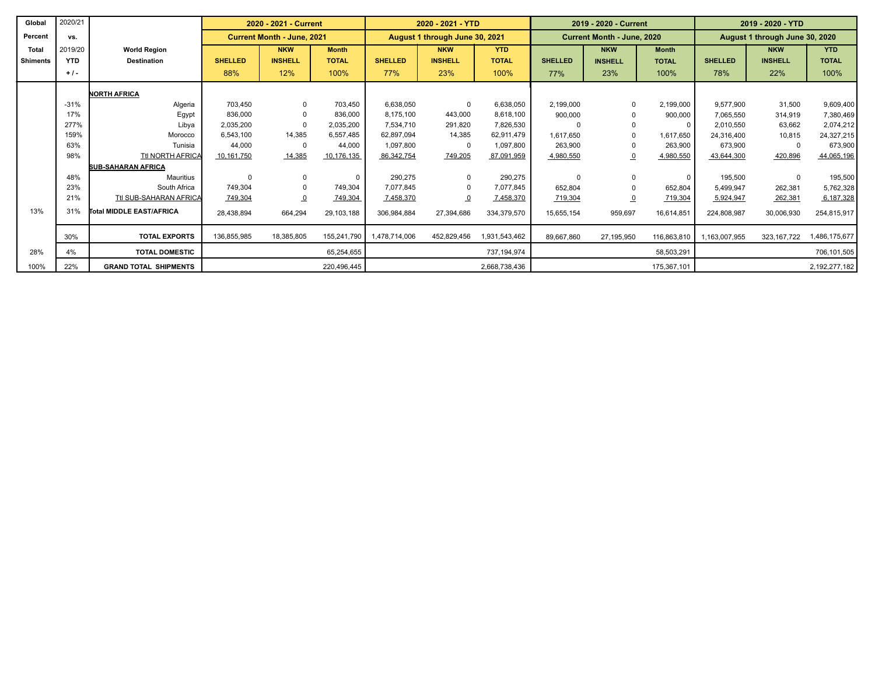| Global          | 2020/21    |                               |                | 2020 - 2021 - Current             |              |                | 2020 - 2021 - YTD              |               | 2019 - 2020 - Current |                                   |              | 2019 - 2020 - YTD |                                |               |
|-----------------|------------|-------------------------------|----------------|-----------------------------------|--------------|----------------|--------------------------------|---------------|-----------------------|-----------------------------------|--------------|-------------------|--------------------------------|---------------|
| Percent         | VS.        |                               |                | <b>Current Month - June, 2021</b> |              |                | August 1 through June 30, 2021 |               |                       | <b>Current Month - June, 2020</b> |              |                   | August 1 through June 30, 2020 |               |
| <b>Total</b>    | 2019/20    | <b>World Region</b>           |                | <b>NKW</b>                        | <b>Month</b> |                | <b>NKW</b>                     | <b>YTD</b>    |                       | <b>NKW</b>                        | <b>Month</b> |                   | <b>NKW</b>                     | <b>YTD</b>    |
| <b>Shiments</b> | <b>YTD</b> | <b>Destination</b>            | <b>SHELLED</b> | <b>INSHELL</b>                    | <b>TOTAL</b> | <b>SHELLED</b> | <b>INSHELL</b>                 | <b>TOTAL</b>  | <b>SHELLED</b>        | <b>INSHELL</b>                    | <b>TOTAL</b> | <b>SHELLED</b>    | <b>INSHELL</b>                 | <b>TOTAL</b>  |
|                 | $+1$ .     |                               | 88%            | 12%                               | 100%         | 77%            | 23%                            | 100%          | 77%                   | 23%                               | 100%         | 78%               | 22%                            | 100%          |
|                 |            | <b>NORTH AFRICA</b>           |                |                                   |              |                |                                |               |                       |                                   |              |                   |                                |               |
|                 | $-31%$     | Algeria                       | 703.450        | $\Omega$                          | 703,450      | 6,638,050      | 0                              | 6,638,050     | 2,199,000             |                                   | 2,199,000    | 9,577,900         | 31,500                         | 9,609,400     |
|                 | 17%        | Egypt                         | 836,000        | $\Omega$                          | 836,000      | 8.175.100      | 443,000                        | 8.618.100     | 900,000               |                                   | 900,000      | 7.065.550         | 314.919                        | 7,380,469     |
|                 | 277%       | Libya                         | 2.035.200      | $\Omega$                          | 2,035,200    | 7.534.710      | 291,820                        | 7,826,530     | $\Omega$              |                                   |              | 2.010.550         | 63.662                         | 2,074,212     |
|                 | 159%       | Morocco                       | 6.543.100      | 14.385                            | 6,557,485    | 62.897.094     | 14,385                         | 62.911.479    | 1.617.650             |                                   | 1,617,650    | 24.316.400        | 10,815                         | 24,327,215    |
|                 | 63%        | Tunisia                       | 44.000         | $\Omega$                          | 44.000       | 1,097,800      | $\mathbf{0}$                   | 1.097.800     | 263,900               |                                   | 263,900      | 673.900           |                                | 673,900       |
|                 | 98%        | Ttl NORTH AFRICA              | 10,161,750     | 14,385                            | 10,176,135   | 86,342,754     | 749,205                        | 87,091,959    | 4,980,550             |                                   | 4,980,550    | 43,644,300        | 420,896                        | 44,065,196    |
|                 |            | <b>SUB-SAHARAN AFRICA</b>     |                |                                   |              |                |                                |               |                       |                                   |              |                   |                                |               |
|                 | 48%        | Mauritius                     | $\Omega$       | $\Omega$                          | $\mathbf 0$  | 290,275        | $\mathbf 0$                    | 290,275       | $\Omega$              |                                   | $\Omega$     | 195.500           | $\Omega$                       | 195,500       |
|                 | 23%        | South Africa                  | 749,304        | $\Omega$                          | 749,304      | 7.077.845      | $\mathbf 0$                    | 7.077.845     | 652,804               |                                   | 652,804      | 5,499,947         | 262,381                        | 5,762,328     |
|                 | 21%        | <b>Ttl SUB-SAHARAN AFRICA</b> | 749,304        | $\overline{0}$                    | 749,304      | 7,458,370      | $\overline{0}$                 | 7,458,370     | 719,304               |                                   | 719,304      | 5,924,947         | 262,381                        | 6,187,328     |
| 13%             | 31%        | Total MIDDLE EAST/AFRICA      | 28,438,894     | 664,294                           | 29,103,188   | 306,984,884    | 27,394,686                     | 334,379,570   | 15.655.154            | 959,697                           | 16.614.851   | 224.808.987       | 30,006,930                     | 254,815,917   |
|                 | 30%        | <b>TOTAL EXPORTS</b>          | 136,855,985    | 18,385,805                        | 155,241,790  | 1.478.714.006  | 452.829.456                    | 1,931,543,462 | 89.667.860            | 27,195,950                        | 116,863,810  | 1,163,007,955     | 323, 167, 722                  | 1,486,175,677 |
| 28%             | 4%         | <b>TOTAL DOMESTIC</b>         |                |                                   | 65,254,655   |                |                                | 737,194,974   |                       |                                   | 58,503,291   |                   |                                | 706,101,505   |
| 100%            | 22%        | <b>GRAND TOTAL SHIPMENTS</b>  |                |                                   | 220,496,445  |                |                                | 2,668,738,436 |                       |                                   | 175,367,101  |                   |                                | 2,192,277,182 |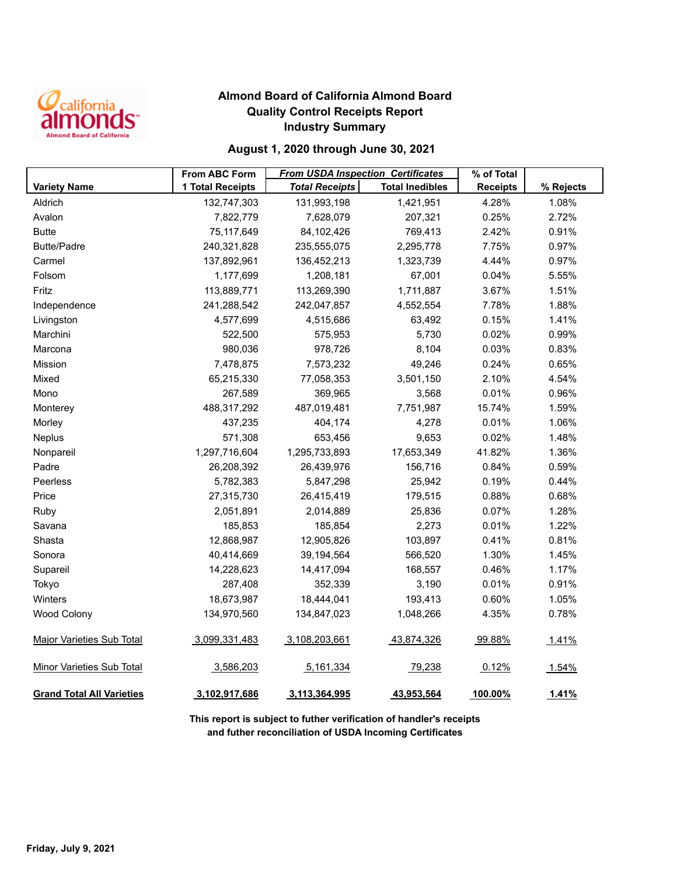

## **Almond Board of California Almond Board Quality Control Receipts Report Industry Summary**

### **August 1, 2020 through June 30, 2021**

|                                  | <b>From ABC Form</b> | <b>From USDA Inspection Certificates</b> |                        | % of Total      |           |
|----------------------------------|----------------------|------------------------------------------|------------------------|-----------------|-----------|
| <b>Variety Name</b>              | 1 Total Receipts     | <b>Total Receipts</b>                    | <b>Total Inedibles</b> | <b>Receipts</b> | % Rejects |
| Aldrich                          | 132,747,303          | 131,993,198                              | 1,421,951              | 4.28%           | 1.08%     |
| Avalon                           | 7,822,779            | 7,628,079                                | 207,321                | 0.25%           | 2.72%     |
| <b>Butte</b>                     | 75,117,649           | 84,102,426                               | 769,413                | 2.42%           | 0.91%     |
| <b>Butte/Padre</b>               | 240,321,828          | 235,555,075                              | 2,295,778              | 7.75%           | 0.97%     |
| Carmel                           | 137,892,961          | 136,452,213                              | 1,323,739              | 4.44%           | 0.97%     |
| Folsom                           | 1,177,699            | 1,208,181                                | 67,001                 | 0.04%           | 5.55%     |
| Fritz                            | 113,889,771          | 113,269,390                              | 1,711,887              | 3.67%           | 1.51%     |
| Independence                     | 241,288,542          | 242,047,857                              | 4,552,554              | 7.78%           | 1.88%     |
| Livingston                       | 4,577,699            | 4,515,686                                | 63,492                 | 0.15%           | 1.41%     |
| Marchini                         | 522,500              | 575,953                                  | 5,730                  | 0.02%           | 0.99%     |
| Marcona                          | 980,036              | 978,726                                  | 8,104                  | 0.03%           | 0.83%     |
| Mission                          | 7,478,875            | 7,573,232                                | 49,246                 | 0.24%           | 0.65%     |
| Mixed                            | 65,215,330           | 77,058,353                               | 3,501,150              | 2.10%           | 4.54%     |
| Mono                             | 267,589              | 369,965                                  | 3,568                  | 0.01%           | 0.96%     |
| Monterey                         | 488,317,292          | 487,019,481                              | 7,751,987              | 15.74%          | 1.59%     |
| Morley                           | 437,235              | 404,174                                  | 4,278                  | 0.01%           | 1.06%     |
| Neplus                           | 571,308              | 653,456                                  | 9,653                  | 0.02%           | 1.48%     |
| Nonpareil                        | 1,297,716,604        | 1,295,733,893                            | 17,653,349             | 41.82%          | 1.36%     |
| Padre                            | 26,208,392           | 26,439,976                               | 156,716                | 0.84%           | 0.59%     |
| Peerless                         | 5,782,383            | 5,847,298                                | 25,942                 | 0.19%           | 0.44%     |
| Price                            | 27,315,730           | 26,415,419                               | 179,515                | 0.88%           | 0.68%     |
| Ruby                             | 2,051,891            | 2,014,889                                | 25,836                 | 0.07%           | 1.28%     |
| Savana                           | 185,853              | 185,854                                  | 2,273                  | 0.01%           | 1.22%     |
| Shasta                           | 12,868,987           | 12,905,826                               | 103,897                | 0.41%           | 0.81%     |
| Sonora                           | 40,414,669           | 39,194,564                               | 566,520                | 1.30%           | 1.45%     |
| Supareil                         | 14,228,623           | 14,417,094                               | 168,557                | 0.46%           | 1.17%     |
| Tokyo                            | 287,408              | 352,339                                  | 3,190                  | 0.01%           | 0.91%     |
| Winters                          | 18,673,987           | 18,444,041                               | 193,413                | 0.60%           | 1.05%     |
| <b>Wood Colony</b>               | 134,970,560          | 134,847,023                              | 1,048,266              | 4.35%           | 0.78%     |
| <b>Major Varieties Sub Total</b> | 3,099,331,483        | 3,108,203,661                            | 43,874,326             | 99.88%          | 1.41%     |
| <b>Minor Varieties Sub Total</b> | 3,586,203            | 5,161,334                                | 79,238                 | 0.12%           | 1.54%     |
| <b>Grand Total All Varieties</b> | 3,102,917,686        | 3,113,364,995                            | 43,953,564             | 100.00%         | 1.41%     |

**This report is subject to futher verification of handler's receipts and futher reconciliation of USDA Incoming Certificates**